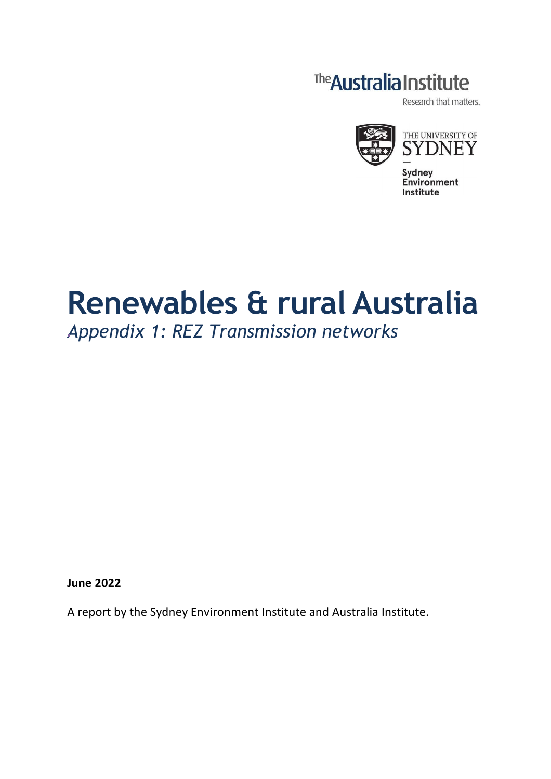# The Australia Institute

Research that matters.



# **Renewables & rural Australia**

## *Appendix 1: REZ Transmission networks*

**June 2022**

A report by the Sydney Environment Institute and Australia Institute.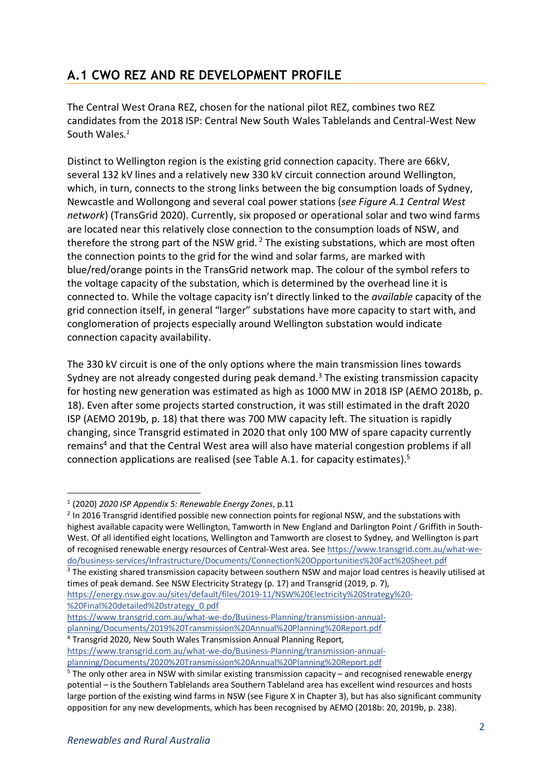## **A.1 CWO REZ AND RE DEVELOPMENT PROFILE**

The Central West Orana REZ, chosen for the national pilot REZ, combines two REZ candidates from the 2018 ISP: Central New South Wales Tablelands and Central-West New South Wales*. 1*

Distinct to Wellington region is the existing grid connection capacity. There are 66kV, several 132 kV lines and a relatively new 330 kV circuit connection around Wellington, which, in turn, connects to the strong links between the big consumption loads of Sydney, Newcastle and Wollongong and several coal power stations (*see Figure A.1 Central West network*) (TransGrid 2020). Currently, six proposed or operational solar and two wind farms are located near this relatively close connection to the consumption loads of NSW, and therefore the strong part of the NSW grid.<sup>2</sup> The existing substations, which are most often the connection points to the grid for the wind and solar farms, are marked with blue/red/orange points in the TransGrid network map. The colour of the symbol refers to the voltage capacity of the substation, which is determined by the overhead line it is connected to. While the voltage capacity isn't directly linked to the *available* capacity of the grid connection itself, in general "larger" substations have more capacity to start with, and conglomeration of projects especially around Wellington substation would indicate connection capacity availability.

The 330 kV circuit is one of the only options where the main transmission lines towards Sydney are not already congested during peak demand.<sup>3</sup> The existing transmission capacity for hosting new generation was estimated as high as 1000 MW in 2018 ISP (AEMO 2018b, p. 18). Even after some projects started construction, it was still estimated in the draft 2020 ISP (AEMO 2019b, p. 18) that there was 700 MW capacity left. The situation is rapidly changing, since Transgrid estimated in 2020 that only 100 MW of spare capacity currently remains<sup>4</sup> and that the Central West area will also have material congestion problems if all connection applications are realised (see Table A.1. for capacity estimates).5

<sup>3</sup> The existing shared transmission capacity between southern NSW and major load centres is heavily utilised at times of peak demand. See NSW Electricity Strategy (p. 17) and Transgrid (2019, p. 7),

https://energy.nsw.gov.au/sites/default/files/2019-11/NSW%20Electricity%20Strategy%20- %20Final%20detailed%20strategy\_0.pdf

 <sup>1</sup> (2020) *2020 ISP Appendix 5: Renewable Energy Zones*, p.11

<sup>&</sup>lt;sup>2</sup> In 2016 Transgrid identified possible new connection points for regional NSW, and the substations with highest available capacity were Wellington, Tamworth in New England and Darlington Point / Griffith in South-West. Of all identified eight locations, Wellington and Tamworth are closest to Sydney, and Wellington is part of recognised renewable energy resources of Central-West area. See https://www.transgrid.com.au/what-wedo/business-services/Infrastructure/Documents/Connection%20Opportunities%20Fact%20Sheet.pdf

https://www.transgrid.com.au/what-we-do/Business-Planning/transmission-annualplanning/Documents/2019%20Transmission%20Annual%20Planning%20Report.pdf

<sup>4</sup> Transgrid 2020, New South Wales Transmission Annual Planning Report, https://www.transgrid.com.au/what-we-do/Business-Planning/transmission-annualplanning/Documents/2020%20Transmission%20Annual%20Planning%20Report.pdf

<sup>5</sup> The only other area in NSW with similar existing transmission capacity – and recognised renewable energy potential – is the Southern Tablelands area Southern Tableland area has excellent wind resources and hosts large portion of the existing wind farms in NSW (see Figure X in Chapter 3), but has also significant community opposition for any new developments, which has been recognised by AEMO (2018b: 20, 2019b, p. 238).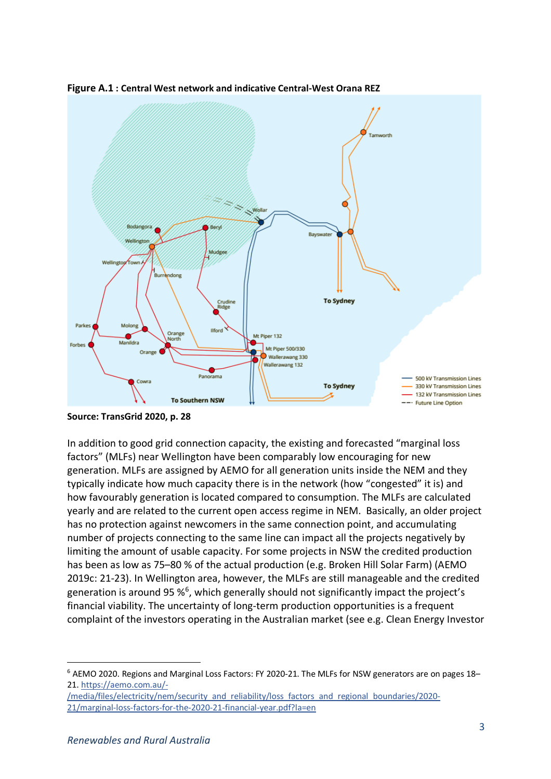

**Figure A.1 : Central West network and indicative Central-West Orana REZ**

**Source: TransGrid 2020, p. 28** 

In addition to good grid connection capacity, the existing and forecasted "marginal loss factors" (MLFs) near Wellington have been comparably low encouraging for new generation. MLFs are assigned by AEMO for all generation units inside the NEM and they typically indicate how much capacity there is in the network (how "congested" it is) and how favourably generation is located compared to consumption. The MLFs are calculated yearly and are related to the current open access regime in NEM. Basically, an older project has no protection against newcomers in the same connection point, and accumulating number of projects connecting to the same line can impact all the projects negatively by limiting the amount of usable capacity. For some projects in NSW the credited production has been as low as 75–80 % of the actual production (e.g. Broken Hill Solar Farm) (AEMO 2019c: 21-23). In Wellington area, however, the MLFs are still manageable and the credited generation is around 95  $\%$ <sup>6</sup>, which generally should not significantly impact the project's financial viability. The uncertainty of long-term production opportunities is a frequent complaint of the investors operating in the Australian market (see e.g. Clean Energy Investor

 <sup>6</sup> AEMO 2020. Regions and Marginal Loss Factors: FY 2020-21. The MLFs for NSW generators are on pages 18– 21. https://aemo.com.au/-

<sup>/</sup>media/files/electricity/nem/security\_and\_reliability/loss\_factors\_and\_regional\_boundaries/2020-21/marginal-loss-factors-for-the-2020-21-financial-year.pdf?la=en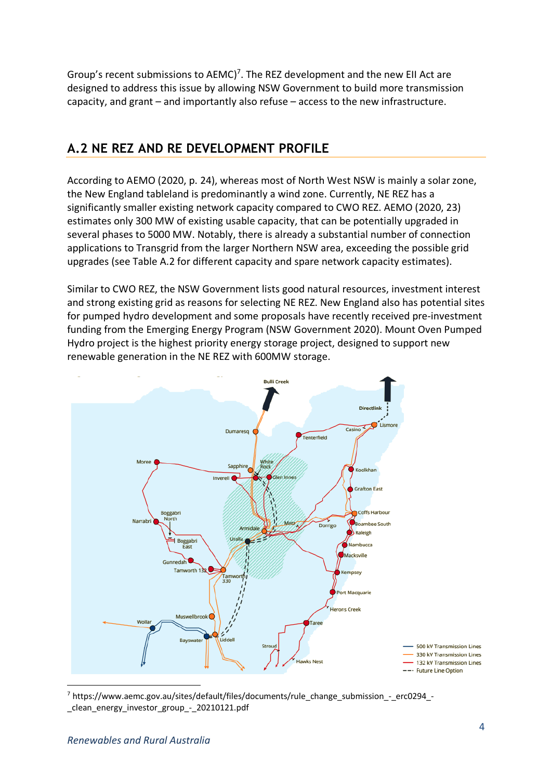Group's recent submissions to  $AEMC$ <sup>7</sup>. The REZ development and the new EII Act are designed to address this issue by allowing NSW Government to build more transmission capacity, and grant – and importantly also refuse – access to the new infrastructure.

#### **A.2 NE REZ AND RE DEVELOPMENT PROFILE**

According to AEMO (2020, p. 24), whereas most of North West NSW is mainly a solar zone, the New England tableland is predominantly a wind zone. Currently, NE REZ has a significantly smaller existing network capacity compared to CWO REZ. AEMO (2020, 23) estimates only 300 MW of existing usable capacity, that can be potentially upgraded in several phases to 5000 MW. Notably, there is already a substantial number of connection applications to Transgrid from the larger Northern NSW area, exceeding the possible grid upgrades (see Table A.2 for different capacity and spare network capacity estimates).

Similar to CWO REZ, the NSW Government lists good natural resources, investment interest and strong existing grid as reasons for selecting NE REZ. New England also has potential sites for pumped hydro development and some proposals have recently received pre-investment funding from the Emerging Energy Program (NSW Government 2020). Mount Oven Pumped Hydro project is the highest priority energy storage project, designed to support new renewable generation in the NE REZ with 600MW storage.



 7 https://www.aemc.gov.au/sites/default/files/documents/rule\_change\_submission\_-\_erc0294\_ clean energy investor group - 20210121.pdf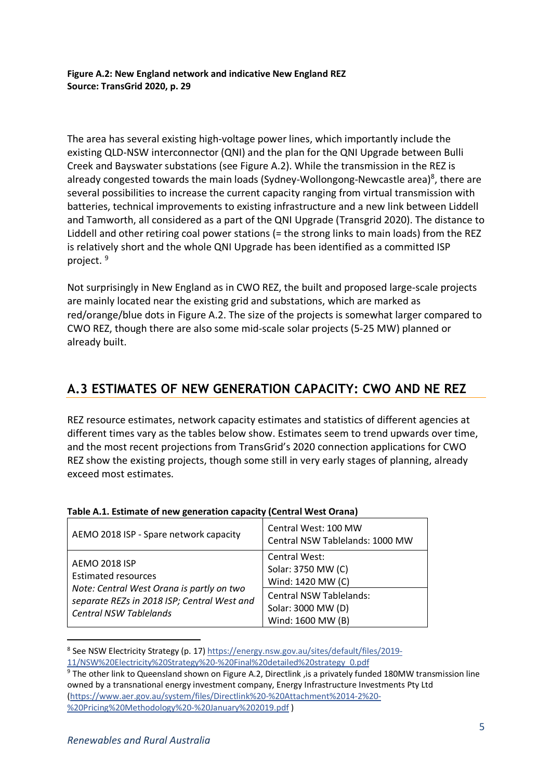**Figure A.2: New England network and indicative New England REZ Source: TransGrid 2020, p. 29** 

The area has several existing high-voltage power lines, which importantly include the existing QLD-NSW interconnector (QNI) and the plan for the QNI Upgrade between Bulli Creek and Bayswater substations (see Figure A.2). While the transmission in the REZ is already congested towards the main loads (Sydney-Wollongong-Newcastle area)<sup>8</sup>, there are several possibilities to increase the current capacity ranging from virtual transmission with batteries, technical improvements to existing infrastructure and a new link between Liddell and Tamworth, all considered as a part of the QNI Upgrade (Transgrid 2020). The distance to Liddell and other retiring coal power stations (= the strong links to main loads) from the REZ is relatively short and the whole QNI Upgrade has been identified as a committed ISP project.<sup>9</sup>

Not surprisingly in New England as in CWO REZ, the built and proposed large-scale projects are mainly located near the existing grid and substations, which are marked as red/orange/blue dots in Figure A.2. The size of the projects is somewhat larger compared to CWO REZ, though there are also some mid-scale solar projects (5-25 MW) planned or already built.

### **A.3 ESTIMATES OF NEW GENERATION CAPACITY: CWO AND NE REZ**

REZ resource estimates, network capacity estimates and statistics of different agencies at different times vary as the tables below show. Estimates seem to trend upwards over time, and the most recent projections from TransGrid's 2020 connection applications for CWO REZ show the existing projects, though some still in very early stages of planning, already exceed most estimates.

| AEMO 2018 ISP - Spare network capacity                                                                                                                                          | Central West: 100 MW<br>Central NSW Tablelands: 1000 MW                   |
|---------------------------------------------------------------------------------------------------------------------------------------------------------------------------------|---------------------------------------------------------------------------|
| <b>AEMO 2018 ISP</b><br><b>Estimated resources</b><br>Note: Central West Orana is partly on two<br>separate REZs in 2018 ISP; Central West and<br><b>Central NSW Tablelands</b> | Central West:<br>Solar: 3750 MW (C)<br>Wind: 1420 MW (C)                  |
|                                                                                                                                                                                 | <b>Central NSW Tablelands:</b><br>Solar: 3000 MW (D)<br>Wind: 1600 MW (B) |

#### **Table A.1. Estimate of new generation capacity (Central West Orana)**

 <sup>8</sup> See NSW Electricity Strategy (p. 17) https://energy.nsw.gov.au/sites/default/files/2019- 11/NSW%20Electricity%20Strategy%20-%20Final%20detailed%20strategy\_0.pdf

<sup>&</sup>lt;sup>9</sup> The other link to Queensland shown on Figure A.2, Directlink , is a privately funded 180MW transmission line owned by a transnational energy investment company, Energy Infrastructure Investments Pty Ltd (https://www.aer.gov.au/system/files/Directlink%20-%20Attachment%2014-2%20- %20Pricing%20Methodology%20-%20January%202019.pdf )